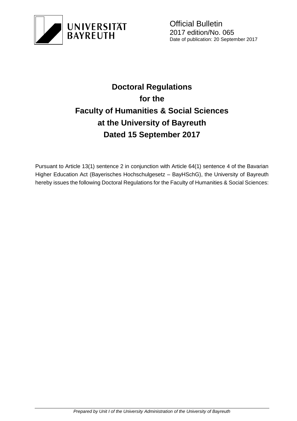

# **Doctoral Regulations for the Faculty of Humanities & Social Sciences at the University of Bayreuth Dated 15 September 2017**

Pursuant to Article 13(1) sentence 2 in conjunction with Article 64(1) sentence 4 of the Bavarian Higher Education Act (Bayerisches Hochschulgesetz – BayHSchG), the University of Bayreuth hereby issues the following Doctoral Regulations for the Faculty of Humanities & Social Sciences: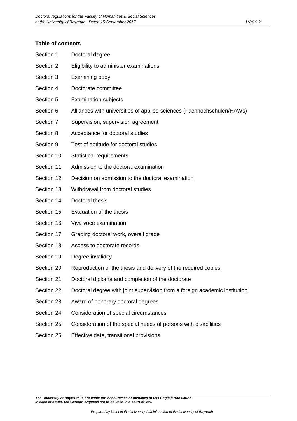#### **Table of contents**

| Section 1  | Doctoral degree                                                            |
|------------|----------------------------------------------------------------------------|
| Section 2  | Eligibility to administer examinations                                     |
| Section 3  | Examining body                                                             |
| Section 4  | Doctorate committee                                                        |
| Section 5  | <b>Examination subjects</b>                                                |
| Section 6  | Alliances with universities of applied sciences (Fachhochschulen/HAWs)     |
| Section 7  | Supervision, supervision agreement                                         |
| Section 8  | Acceptance for doctoral studies                                            |
| Section 9  | Test of aptitude for doctoral studies                                      |
| Section 10 | <b>Statistical requirements</b>                                            |
| Section 11 | Admission to the doctoral examination                                      |
| Section 12 | Decision on admission to the doctoral examination                          |
| Section 13 | Withdrawal from doctoral studies                                           |
| Section 14 | Doctoral thesis                                                            |
| Section 15 | Evaluation of the thesis                                                   |
| Section 16 | Viva voce examination                                                      |
| Section 17 | Grading doctoral work, overall grade                                       |
| Section 18 | Access to doctorate records                                                |
| Section 19 | Degree invalidity                                                          |
| Section 20 | Reproduction of the thesis and delivery of the required copies             |
| Section 21 | Doctoral diploma and completion of the doctorate                           |
| Section 22 | Doctoral degree with joint supervision from a foreign academic institution |
| Section 23 | Award of honorary doctoral degrees                                         |
| Section 24 | Consideration of special circumstances                                     |
| Section 25 | Consideration of the special needs of persons with disabilities            |
| Section 26 | Effective date, transitional provisions                                    |
|            |                                                                            |

*The University of Bayreuth is not liable for inaccuracies or mistakes in this English translation. In case of doubt, the German originals are to be used in a court of law.*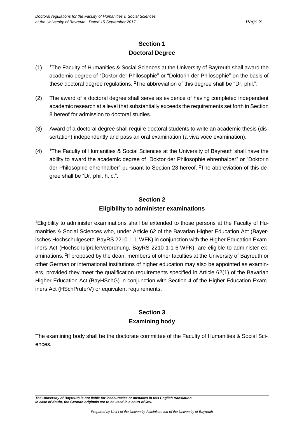## **Section 1 Doctoral Degree**

- (1) <sup>1</sup>The Faculty of Humanities & Social Sciences at the University of Bayreuth shall award the academic degree of "Doktor der Philosophie" or "Doktorin der Philosophie" on the basis of these doctoral degree regulations. <sup>2</sup>The abbreviation of this degree shall be "Dr. phil.".
- (2) The award of a doctoral degree shall serve as evidence of having completed independent academic research at a level that substantially exceeds the requirements set forth in Section 8 hereof for admission to doctoral studies.
- (3) Award of a doctoral degree shall require doctoral students to write an academic thesis (dissertation) independently and pass an oral examination (a viva voce examination).
- (4) <sup>1</sup>The Faculty of Humanities & Social Sciences at the University of Bayreuth shall have the ability to award the academic degree of "Doktor der Philosophie ehrenhalber" or "Doktorin der Philosophie ehrenhalber" pursuant to Section 23 hereof. <sup>2</sup>The abbreviation of this degree shall be "Dr. phil. h. c.".

## **Section 2 Eligibility to administer examinations**

1Eligibility to administer examinations shall be extended to those persons at the Faculty of Humanities & Social Sciences who, under Article 62 of the Bavarian Higher Education Act (Bayerisches Hochschulgesetz, BayRS 2210-1-1-WFK) in conjunction with the Higher Education Examiners Act (Hochschulprüferverordnung, BayRS 2210-1-1-6-WFK), are eligible to administer examinations. <sup>2</sup>If proposed by the dean, members of other faculties at the University of Bayreuth or other German or international institutions of higher education may also be appointed as examiners, provided they meet the qualification requirements specified in Article 62(1) of the Bavarian Higher Education Act (BayHSchG) in conjunction with Section 4 of the Higher Education Examiners Act (HSchPrüferV) or equivalent requirements.

## **Section 3 Examining body**

The examining body shall be the doctorate committee of the Faculty of Humanities & Social Sciences.

*The University of Bayreuth is not liable for inaccuracies or mistakes in this English translation. In case of doubt, the German originals are to be used in a court of law.*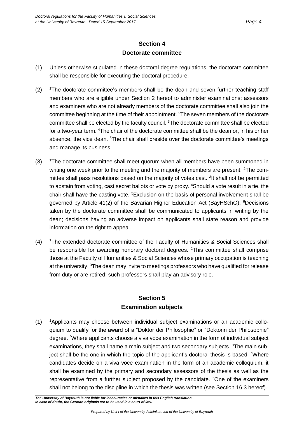## **Section 4 Doctorate committee**

- (1) Unless otherwise stipulated in these doctoral degree regulations, the doctorate committee shall be responsible for executing the doctoral procedure.
- (2) <sup>1</sup>The doctorate committee's members shall be the dean and seven further teaching staff members who are eligible under Section 2 hereof to administer examinations; assessors and examiners who are not already members of the doctorate committee shall also join the committee beginning at the time of their appointment. <sup>2</sup>The seven members of the doctorate committee shall be elected by the faculty council. <sup>3</sup>The doctorate committee shall be elected for a two-year term. <sup>4</sup>The chair of the doctorate committee shall be the dean or, in his or her absence, the vice dean. <sup>5</sup>The chair shall preside over the doctorate committee's meetings and manage its business.
- (3) <sup>1</sup>The doctorate committee shall meet quorum when all members have been summoned in writing one week prior to the meeting and the majority of members are present.  ${}^{2}$ The committee shall pass resolutions based on the majority of votes cast. <sup>3</sup>It shall not be permitted to abstain from voting, cast secret ballots or vote by proxy. <sup>4</sup>Should a vote result in a tie, the chair shall have the casting vote.  $5E$ xclusion on the basis of personal involvement shall be governed by Article 41(2) of the Bavarian Higher Education Act (BayHSchG). <sup>6</sup>Decisions taken by the doctorate committee shall be communicated to applicants in writing by the dean; decisions having an adverse impact on applicants shall state reason and provide information on the right to appeal.
- (4) <sup>1</sup>The extended doctorate committee of the Faculty of Humanities & Social Sciences shall be responsible for awarding honorary doctoral degrees. <sup>2</sup>This committee shall comprise those at the Faculty of Humanities & Social Sciences whose primary occupation is teaching at the university. <sup>3</sup>The dean may invite to meetings professors who have qualified for release from duty or are retired; such professors shall play an advisory role.

#### **Section 5 Examination subjects**

(1) <sup>1</sup>Applicants may choose between individual subject examinations or an academic colloquium to qualify for the award of a "Doktor der Philosophie" or "Doktorin der Philosophie" degree. <sup>2</sup>Where applicants choose a viva voce examination in the form of individual subject examinations, they shall name a main subject and two secondary subjects. <sup>3</sup>The main subject shall be the one in which the topic of the applicant's doctoral thesis is based. 4Where candidates decide on a viva voce examination in the form of an academic colloquium, it shall be examined by the primary and secondary assessors of the thesis as well as the representative from a further subject proposed by the candidate. <sup>5</sup>One of the examiners shall not belong to the discipline in which the thesis was written (see Section 16.3 hereof).

*The University of Bayreuth is not liable for inaccuracies or mistakes in this English translation. In case of doubt, the German originals are to be used in a court of law.*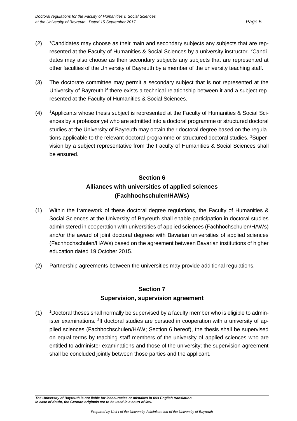- $(2)$  <sup>1</sup>Candidates may choose as their main and secondary subjects any subjects that are represented at the Faculty of Humanities & Social Sciences by a university instructor. <sup>2</sup>Candidates may also choose as their secondary subjects any subjects that are represented at other faculties of the University of Bayreuth by a member of the university teaching staff.
- (3) The doctorate committee may permit a secondary subject that is not represented at the University of Bayreuth if there exists a technical relationship between it and a subject represented at the Faculty of Humanities & Social Sciences.
- (4) <sup>1</sup>Applicants whose thesis subject is represented at the Faculty of Humanities & Social Sciences by a professor yet who are admitted into a doctoral programme or structured doctoral studies at the University of Bayreuth may obtain their doctoral degree based on the regulations applicable to the relevant doctoral programme or structured doctoral studies. <sup>2</sup>Supervision by a subject representative from the Faculty of Humanities & Social Sciences shall be ensured.

# **Section 6 Alliances with universities of applied sciences (Fachhochschulen/HAWs)**

- (1) Within the framework of these doctoral degree regulations, the Faculty of Humanities & Social Sciences at the University of Bayreuth shall enable participation in doctoral studies administered in cooperation with universities of applied sciences (Fachhochschulen/HAWs) and/or the award of joint doctoral degrees with Bavarian universities of applied sciences (Fachhochschulen/HAWs) based on the agreement between Bavarian institutions of higher education dated 19 October 2015.
- (2) Partnership agreements between the universities may provide additional regulations.

## **Section 7 Supervision, supervision agreement**

 $(1)$  <sup>1</sup>Doctoral theses shall normally be supervised by a faculty member who is eligible to administer examinations. <sup>2</sup>If doctoral studies are pursued in cooperation with a university of applied sciences (Fachhochschulen/HAW; Section 6 hereof), the thesis shall be supervised on equal terms by teaching staff members of the university of applied sciences who are entitled to administer examinations and those of the university; the supervision agreement shall be concluded jointly between those parties and the applicant.

*The University of Bayreuth is not liable for inaccuracies or mistakes in this English translation. In case of doubt, the German originals are to be used in a court of law.*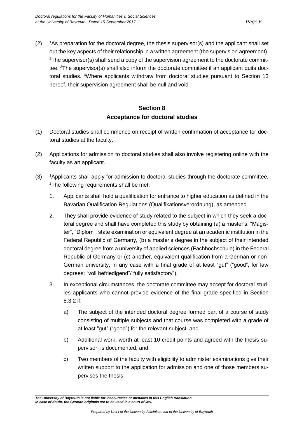$(2)$  <sup>1</sup>As preparation for the doctoral degree, the thesis supervisor(s) and the applicant shall set out the key aspects of their relationship in a written agreement (the supervision agreement).  $2$ The supervisor(s) shall send a copy of the supervision agreement to the doctorate committee. <sup>3</sup>The supervisor(s) shall also inform the doctorate committee if an applicant quits doctoral studies. <sup>4</sup>Where applicants withdraw from doctoral studies pursuant to Section 13 hereof, their supervision agreement shall be null and void.

## **Section 8 Acceptance for doctoral studies**

- (1) Doctoral studies shall commence on receipt of written confirmation of acceptance for doctoral studies at the faculty.
- (2) Applications for admission to doctoral studies shall also involve registering online with the faculty as an applicant.
- $(3)$  <sup>1</sup>Applicants shall apply for admission to doctoral studies through the doctorate committee. <sup>2</sup>The following requirements shall be met:
	- 1. Applicants shall hold a qualification for entrance to higher education as defined in the Bavarian Qualification Regulations (Qualifikationsverordnung), as amended.
	- 2. They shall provide evidence of study related to the subject in which they seek a doctoral degree and shall have completed this study by obtaining (a) a master's, "Magister", "Diplom", state examination or equivalent degree at an academic institution in the Federal Republic of Germany, (b) a master's degree in the subject of their intended doctoral degree from a university of applied sciences (Fachhochschule) in the Federal Republic of Germany or (c) another, equivalent qualification from a German or non-German university, in any case with a final grade of at least "gut" ("good", for law degrees: "voll befriedigend"/"fully satisfactory").
	- 3. In exceptional circumstances, the doctorate committee may accept for doctoral studies applicants who cannot provide evidence of the final grade specified in Section 8.3.2 if:
		- a) The subject of the intended doctoral degree formed part of a course of study consisting of multiple subjects and that course was completed with a grade of at least "gut" ("good") for the relevant subject, and
		- b) Additional work, worth at least 10 credit points and agreed with the thesis supervisor, is documented, and
		- c) Two members of the faculty with eligibility to administer examinations give their written support to the application for admission and one of those members supervises the thesis

*The University of Bayreuth is not liable for inaccuracies or mistakes in this English translation. In case of doubt, the German originals are to be used in a court of law.*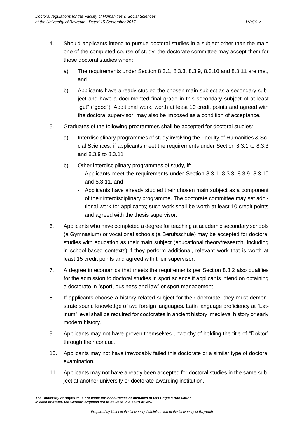- 4. Should applicants intend to pursue doctoral studies in a subject other than the main one of the completed course of study, the doctorate committee may accept them for those doctoral studies when:
	- a) The requirements under Section 8.3.1, 8.3.3, 8.3.9, 8.3.10 and 8.3.11 are met, and
	- b) Applicants have already studied the chosen main subject as a secondary subject and have a documented final grade in this secondary subject of at least "gut" ("good"). Additional work, worth at least 10 credit points and agreed with the doctoral supervisor, may also be imposed as a condition of acceptance.
- 5. Graduates of the following programmes shall be accepted for doctoral studies:
	- a) Interdisciplinary programmes of study involving the Faculty of Humanities & Social Sciences, if applicants meet the requirements under Section 8.3.1 to 8.3.3 and 8.3.9 to 8.3.11
	- b) Other interdisciplinary programmes of study, if:
		- Applicants meet the requirements under Section 8.3.1, 8.3.3, 8.3.9, 8.3.10 and 8.3.11, and
		- Applicants have already studied their chosen main subject as a component of their interdisciplinary programme. The doctorate committee may set additional work for applicants; such work shall be worth at least 10 credit points and agreed with the thesis supervisor.
- 6. Applicants who have completed a degree for teaching at academic secondary schools (a Gymnasium) or vocational schools (a Berufsschule) may be accepted for doctoral studies with education as their main subject (educational theory/research, including in school-based contexts) if they perform additional, relevant work that is worth at least 15 credit points and agreed with their supervisor.
- 7. A degree in economics that meets the requirements per Section 8.3.2 also qualifies for the admission to doctoral studies in sport science if applicants intend on obtaining a doctorate in "sport, business and law" or sport management.
- 8. If applicants choose a history-related subject for their doctorate, they must demonstrate sound knowledge of two foreign languages. Latin language proficiency at "Latinum" level shall be required for doctorates in ancient history, medieval history or early modern history.
- 9. Applicants may not have proven themselves unworthy of holding the title of "Doktor" through their conduct.
- 10. Applicants may not have irrevocably failed this doctorate or a similar type of doctoral examination.
- 11. Applicants may not have already been accepted for doctoral studies in the same subject at another university or doctorate-awarding institution.

*The University of Bayreuth is not liable for inaccuracies or mistakes in this English translation. In case of doubt, the German originals are to be used in a court of law.*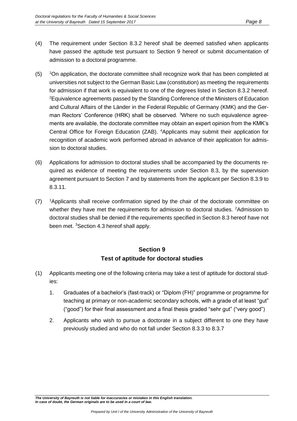- (4) The requirement under Section 8.3.2 hereof shall be deemed satisfied when applicants have passed the aptitude test pursuant to Section 9 hereof or submit documentation of admission to a doctoral programme.
- $(5)$  <sup>1</sup>On application, the doctorate committee shall recognize work that has been completed at universities not subject to the German Basic Law (constitution) as meeting the requirements for admission if that work is equivalent to one of the degrees listed in Section 8.3.2 hereof. <sup>2</sup>Equivalence agreements passed by the Standing Conference of the Ministers of Education and Cultural Affairs of the Länder in the Federal Republic of Germany (KMK) and the German Rectors' Conference (HRK) shall be observed. <sup>3</sup>Where no such equivalence agreements are available, the doctorate committee may obtain an expert opinion from the KMK's Central Office for Foreign Education (ZAB). <sup>4</sup>Applicants may submit their application for recognition of academic work performed abroad in advance of their application for admission to doctoral studies.
- (6) Applications for admission to doctoral studies shall be accompanied by the documents required as evidence of meeting the requirements under Section 8.3, by the supervision agreement pursuant to Section 7 and by statements from the applicant per Section 8.3.9 to 8.3.11.
- $(7)$  <sup>1</sup>Applicants shall receive confirmation signed by the chair of the doctorate committee on whether they have met the requirements for admission to doctoral studies. <sup>2</sup>Admission to doctoral studies shall be denied if the requirements specified in Section 8.3 hereof have not been met. <sup>3</sup>Section 4.3 hereof shall apply.

## **Section 9 Test of aptitude for doctoral studies**

- (1) Applicants meeting one of the following criteria may take a test of aptitude for doctoral studies:
	- 1. Graduates of a bachelor's (fast-track) or "Diplom (FH)" programme or programme for teaching at primary or non-academic secondary schools, with a grade of at least "gut" ("good") for their final assessment and a final thesis graded "sehr gut" ("very good")
	- 2. Applicants who wish to pursue a doctorate in a subject different to one they have previously studied and who do not fall under Section 8.3.3 to 8.3.7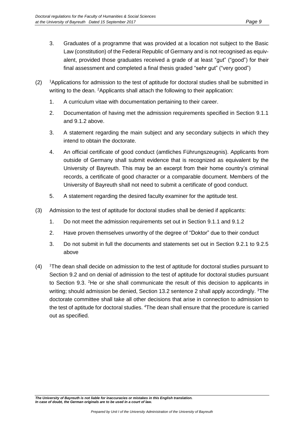- 3. Graduates of a programme that was provided at a location not subject to the Basic Law (constitution) of the Federal Republic of Germany and is not recognised as equivalent, provided those graduates received a grade of at least "gut" ("good") for their final assessment and completed a final thesis graded "sehr gut" ("very good")
- $(2)$  <sup>1</sup>Applications for admission to the test of aptitude for doctoral studies shall be submitted in writing to the dean. <sup>2</sup>Applicants shall attach the following to their application:
	- 1. A curriculum vitae with documentation pertaining to their career.
	- 2. Documentation of having met the admission requirements specified in Section 9.1.1 and 9.1.2 above.
	- 3. A statement regarding the main subject and any secondary subjects in which they intend to obtain the doctorate.
	- 4. An official certificate of good conduct (amtliches Führungszeugnis). Applicants from outside of Germany shall submit evidence that is recognized as equivalent by the University of Bayreuth. This may be an excerpt from their home country's criminal records, a certificate of good character or a comparable document. Members of the University of Bayreuth shall not need to submit a certificate of good conduct.
	- 5. A statement regarding the desired faculty examiner for the aptitude test.
- (3) Admission to the test of aptitude for doctoral studies shall be denied if applicants:
	- 1. Do not meet the admission requirements set out in Section 9.1.1 and 9.1.2
	- 2. Have proven themselves unworthy of the degree of "Doktor" due to their conduct
	- 3. Do not submit in full the documents and statements set out in Section 9.2.1 to 9.2.5 above
- $(4)$  <sup>1</sup>The dean shall decide on admission to the test of aptitude for doctoral studies pursuant to Section 9.2 and on denial of admission to the test of aptitude for doctoral studies pursuant to Section 9.3. <sup>2</sup>He or she shall communicate the result of this decision to applicants in writing; should admission be denied, Section 13.2 sentence 2 shall apply accordingly. <sup>3</sup>The doctorate committee shall take all other decisions that arise in connection to admission to the test of aptitude for doctoral studies. <sup>4</sup>The dean shall ensure that the procedure is carried out as specified.

*The University of Bayreuth is not liable for inaccuracies or mistakes in this English translation. In case of doubt, the German originals are to be used in a court of law.*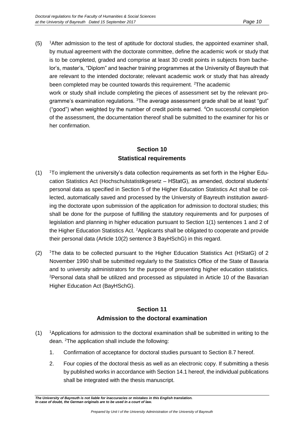$(5)$  <sup>1</sup>After admission to the test of aptitude for doctoral studies, the appointed examiner shall, by mutual agreement with the doctorate committee, define the academic work or study that is to be completed, graded and comprise at least 30 credit points in subjects from bachelor's, master's, "Diplom" and teacher training programmes at the University of Bayreuth that are relevant to the intended doctorate; relevant academic work or study that has already been completed may be counted towards this requirement. <sup>2</sup>The academic work or study shall include completing the pieces of assessment set by the relevant programme's examination regulations. <sup>3</sup>The average assessment grade shall be at least "gut" ("good") when weighted by the number of credit points earned. <sup>4</sup>On successful completion of the assessment, the documentation thereof shall be submitted to the examiner for his or her confirmation.

#### **Section 10 Statistical requirements**

- $(1)$  <sup>1</sup>To implement the university's data collection requirements as set forth in the Higher Education Statistics Act (Hochschulstatistikgesetz – HStatG), as amended, doctoral students' personal data as specified in Section 5 of the Higher Education Statistics Act shall be collected, automatically saved and processed by the University of Bayreuth institution awarding the doctorate upon submission of the application for admission to doctoral studies; this shall be done for the purpose of fulfilling the statutory requirements and for purposes of legislation and planning in higher education pursuant to Section 1(1) sentences 1 and 2 of the Higher Education Statistics Act. <sup>2</sup>Applicants shall be obligated to cooperate and provide their personal data (Article 10(2) sentence 3 BayHSchG) in this regard.
- $(2)$  <sup>1</sup>The data to be collected pursuant to the Higher Education Statistics Act (HStatG) of 2 November 1990 shall be submitted regularly to the Statistics Office of the State of Bavaria and to university administrators for the purpose of presenting higher education statistics. <sup>2</sup>Personal data shall be utilized and processed as stipulated in Article 10 of the Bavarian Higher Education Act (BayHSchG).

#### **Section 11 Admission to the doctoral examination**

- $(1)$  <sup>1</sup>Applications for admission to the doctoral examination shall be submitted in writing to the dean. <sup>2</sup>The application shall include the following:
	- 1. Confirmation of acceptance for doctoral studies pursuant to Section 8.7 hereof.
	- 2. Four copies of the doctoral thesis as well as an electronic copy. If submitting a thesis by published works in accordance with Section 14.1 hereof, the individual publications shall be integrated with the thesis manuscript.

*The University of Bayreuth is not liable for inaccuracies or mistakes in this English translation. In case of doubt, the German originals are to be used in a court of law.*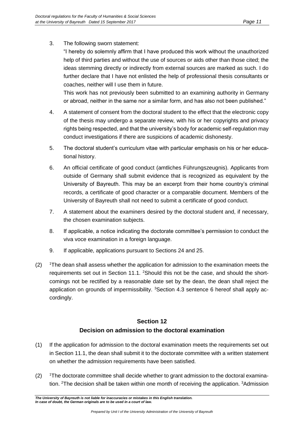3. The following sworn statement:

"I hereby do solemnly affirm that I have produced this work without the unauthorized help of third parties and without the use of sources or aids other than those cited; the ideas stemming directly or indirectly from external sources are marked as such. I do further declare that I have not enlisted the help of professional thesis consultants or coaches, neither will I use them in future.

This work has not previously been submitted to an examining authority in Germany or abroad, neither in the same nor a similar form, and has also not been published."

- 4. A statement of consent from the doctoral student to the effect that the electronic copy of the thesis may undergo a separate review, with his or her copyrights and privacy rights being respected, and that the university's body for academic self-regulation may conduct investigations if there are suspicions of academic dishonesty.
- 5. The doctoral student's curriculum vitae with particular emphasis on his or her educational history.
- 6. An official certificate of good conduct (amtliches Führungszeugnis). Applicants from outside of Germany shall submit evidence that is recognized as equivalent by the University of Bayreuth. This may be an excerpt from their home country's criminal records, a certificate of good character or a comparable document. Members of the University of Bayreuth shall not need to submit a certificate of good conduct.
- 7. A statement about the examiners desired by the doctoral student and, if necessary, the chosen examination subjects.
- 8. If applicable, a notice indicating the doctorate committee's permission to conduct the viva voce examination in a foreign language.
- 9. If applicable, applications pursuant to Sections 24 and 25.
- $(2)$  <sup>1</sup>The dean shall assess whether the application for admission to the examination meets the requirements set out in Section 11.1. <sup>2</sup>Should this not be the case, and should the shortcomings not be rectified by a reasonable date set by the dean, the dean shall reject the application on grounds of impermissibility. <sup>3</sup>Section 4.3 sentence 6 hereof shall apply accordingly.

# **Section 12**

#### **Decision on admission to the doctoral examination**

- (1) If the application for admission to the doctoral examination meets the requirements set out in Section 11.1, the dean shall submit it to the doctorate committee with a written statement on whether the admission requirements have been satisfied.
- $(2)$  <sup>1</sup>The doctorate committee shall decide whether to grant admission to the doctoral examination. <sup>2</sup>The decision shall be taken within one month of receiving the application. <sup>3</sup>Admission

*The University of Bayreuth is not liable for inaccuracies or mistakes in this English translation. In case of doubt, the German originals are to be used in a court of law.*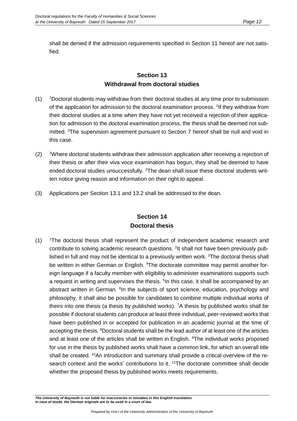shall be denied if the admission requirements specified in Section 11 hereof are not satisfied.

#### **Section 13 Withdrawal from doctoral studies**

- $(1)$  <sup>1</sup>Doctoral students may withdraw from their doctoral studies at any time prior to submission of the application for admission to the doctoral examination process. <sup>2</sup>If they withdraw from their doctoral studies at a time when they have not yet received a rejection of their application for admission to the doctoral examination process, the thesis shall be deemed not submitted. <sup>3</sup>The supervision agreement pursuant to Section 7 hereof shall be null and void in this case.
- (2) <sup>1</sup>Where doctoral students withdraw their admission application after receiving a rejection of their thesis or after their viva voce examination has begun, they shall be deemed to have ended doctoral studies unsuccessfully. <sup>2</sup>The dean shall issue these doctoral students written notice giving reason and information on their right to appeal.
- (3) Applications per Section 13.1 and 13.2 shall be addressed to the dean.

#### **Section 14 Doctoral thesis**

(1) <sup>1</sup>The doctoral thesis shall represent the product of independent academic research and contribute to solving academic research questions. <sup>2</sup>It shall not have been previously published in full and may not be identical to a previously written work.  $3$ The doctoral thesis shall be written in either German or English. <sup>4</sup>The doctorate committee may permit another foreign language if a faculty member with eligibility to administer examinations supports such a request in writing and supervises the thesis. <sup>5</sup>In this case, it shall be accompanied by an abstract written in German. <sup>6</sup>In the subjects of sport science, education, psychology and philosophy, it shall also be possible for candidates to combine multiple individual works of theirs into one thesis (a thesis by published works). <sup>7</sup>A thesis by published works shall be possible if doctoral students can produce at least three individual, peer-reviewed works that have been published in or accepted for publication in an academic journal at the time of accepting the thesis. <sup>8</sup>Doctoral students shall be the lead author of at least one of the articles and at least one of the articles shall be written in English. <sup>9</sup>The individual works proposed for use in the thesis by published works shall have a common link, for which an overall title shall be created. <sup>10</sup>An introduction and summary shall provide a critical overview of the research context and the works' contributions to it. <sup>11</sup>The doctorate committee shall decide whether the proposed thesis by published works meets requirements.

*The University of Bayreuth is not liable for inaccuracies or mistakes in this English translation. In case of doubt, the German originals are to be used in a court of law.*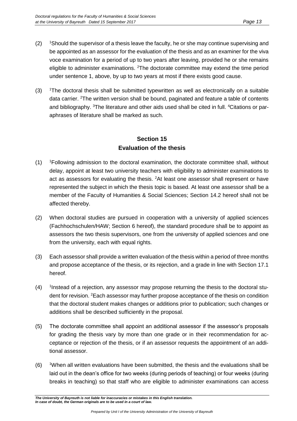- $(2)$  <sup>1</sup>Should the supervisor of a thesis leave the faculty, he or she may continue supervising and be appointed as an assessor for the evaluation of the thesis and as an examiner for the viva voce examination for a period of up to two years after leaving, provided he or she remains eligible to administer examinations. <sup>2</sup>The doctorate committee may extend the time period under sentence 1, above, by up to two years at most if there exists good cause.
- $(3)$  <sup>1</sup>The doctoral thesis shall be submitted typewritten as well as electronically on a suitable data carrier. <sup>2</sup>The written version shall be bound, paginated and feature a table of contents and bibliography. <sup>3</sup>The literature and other aids used shall be cited in full. <sup>4</sup>Citations or paraphrases of literature shall be marked as such.

## **Section 15 Evaluation of the thesis**

- (1) <sup>1</sup>Following admission to the doctoral examination, the doctorate committee shall, without delay, appoint at least two university teachers with eligibility to administer examinations to act as assessors for evaluating the thesis. <sup>2</sup>At least one assessor shall represent or have represented the subject in which the thesis topic is based. At least one assessor shall be a member of the Faculty of Humanities & Social Sciences; Section 14.2 hereof shall not be affected thereby.
- (2) When doctoral studies are pursued in cooperation with a university of applied sciences (Fachhochschulen/HAW; Section 6 hereof), the standard procedure shall be to appoint as assessors the two thesis supervisors, one from the university of applied sciences and one from the university, each with equal rights.
- (3) Each assessor shall provide a written evaluation of the thesis within a period of three months and propose acceptance of the thesis, or its rejection, and a grade in line with Section 17.1 hereof.
- $(4)$ Instead of a rejection, any assessor may propose returning the thesis to the doctoral student for revision. <sup>2</sup>Each assessor may further propose acceptance of the thesis on condition that the doctoral student makes changes or additions prior to publication; such changes or additions shall be described sufficiently in the proposal.
- (5) The doctorate committee shall appoint an additional assessor if the assessor's proposals for grading the thesis vary by more than one grade or in their recommendation for acceptance or rejection of the thesis, or if an assessor requests the appointment of an additional assessor.
- $(6)$  <sup>1</sup>When all written evaluations have been submitted, the thesis and the evaluations shall be laid out in the dean's office for two weeks (during periods of teaching) or four weeks (during breaks in teaching) so that staff who are eligible to administer examinations can access

*The University of Bayreuth is not liable for inaccuracies or mistakes in this English translation. In case of doubt, the German originals are to be used in a court of law.*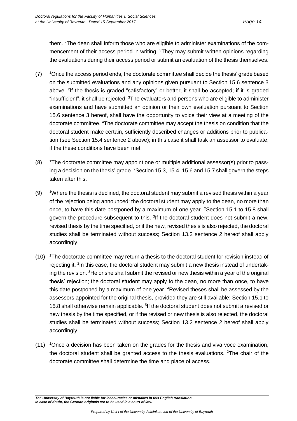them. 2The dean shall inform those who are eligible to administer examinations of the commencement of their access period in writing. <sup>3</sup>They may submit written opinions regarding the evaluations during their access period or submit an evaluation of the thesis themselves.

- $(7)$  <sup>1</sup>Once the access period ends, the doctorate committee shall decide the thesis' grade based on the submitted evaluations and any opinions given pursuant to Section 15.6 sentence 3 above. <sup>2</sup> If the thesis is graded "satisfactory" or better, it shall be accepted; if it is graded "insufficient", it shall be rejected. <sup>3</sup>The evaluators and persons who are eligible to administer examinations and have submitted an opinion or their own evaluation pursuant to Section 15.6 sentence 3 hereof, shall have the opportunity to voice their view at a meeting of the doctorate committee. <sup>4</sup>The doctorate committee may accept the thesis on condition that the doctoral student make certain, sufficiently described changes or additions prior to publication (see Section 15.4 sentence 2 above); in this case it shall task an assessor to evaluate, if the these conditions have been met.
- $(8)$  <sup>1</sup>The doctorate committee may appoint one or multiple additional assessor(s) prior to passing a decision on the thesis' grade. <sup>2</sup>Section 15.3, 15.4, 15.6 and 15.7 shall govern the steps taken after this.
- $(9)$  <sup>1</sup>Where the thesis is declined, the doctoral student may submit a revised thesis within a year of the rejection being announced; the doctoral student may apply to the dean, no more than once, to have this date postponed by a maximum of one year. <sup>2</sup> Section 15.1 to 15.8 shall govern the procedure subsequent to this. <sup>3</sup>If the doctoral student does not submit a new, revised thesis by the time specified, or if the new, revised thesis is also rejected, the doctoral studies shall be terminated without success; Section 13.2 sentence 2 hereof shall apply accordingly.
- $(10)$  <sup>1</sup>The doctorate committee may return a thesis to the doctoral student for revision instead of rejecting it. <sup>2</sup>In this case, the doctoral student may submit a new thesis instead of undertaking the revision. <sup>3</sup>He or she shall submit the revised or new thesis within a year of the original thesis' rejection; the doctoral student may apply to the dean, no more than once, to have this date postponed by a maximum of one year. <sup>4</sup>Revised theses shall be assessed by the assessors appointed for the original thesis, provided they are still available; Section 15.1 to 15.8 shall otherwise remain applicable. <sup>5</sup>If the doctoral student does not submit a revised or new thesis by the time specified, or if the revised or new thesis is also rejected, the doctoral studies shall be terminated without success; Section 13.2 sentence 2 hereof shall apply accordingly.
- (11) <sup>1</sup>Once a decision has been taken on the grades for the thesis and viva voce examination, the doctoral student shall be granted access to the thesis evaluations. <sup>2</sup>The chair of the doctorate committee shall determine the time and place of access.

*The University of Bayreuth is not liable for inaccuracies or mistakes in this English translation. In case of doubt, the German originals are to be used in a court of law.*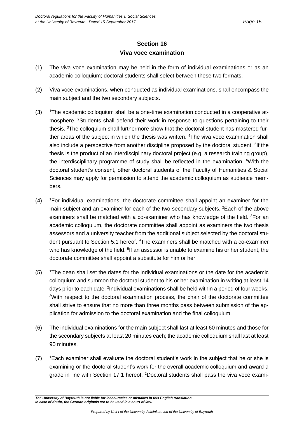#### **Section 16 Viva voce examination**

- (1) The viva voce examination may be held in the form of individual examinations or as an academic colloquium; doctoral students shall select between these two formats.
- (2) Viva voce examinations, when conducted as individual examinations, shall encompass the main subject and the two secondary subjects.
- (3) <sup>1</sup>The academic colloquium shall be a one-time examination conducted in a cooperative atmosphere. <sup>2</sup>Students shall defend their work in response to questions pertaining to their thesis. <sup>3</sup>The colloquium shall furthermore show that the doctoral student has mastered further areas of the subject in which the thesis was written. <sup>4</sup>The viva voce examination shall also include a perspective from another discipline proposed by the doctoral student. <sup>5</sup>If the thesis is the product of an interdisciplinary doctoral project (e.g. a research training group), the interdisciplinary programme of study shall be reflected in the examination. <sup>6</sup>With the doctoral student's consent, other doctoral students of the Faculty of Humanities & Social Sciences may apply for permission to attend the academic colloquium as audience members.
- $(4)$  <sup>1</sup>For individual examinations, the doctorate committee shall appoint an examiner for the main subject and an examiner for each of the two secondary subjects. <sup>2</sup>Each of the above examiners shall be matched with a co-examiner who has knowledge of the field.  ${}^{3}$ For an academic colloquium, the doctorate committee shall appoint as examiners the two thesis assessors and a university teacher from the additional subject selected by the doctoral student pursuant to Section 5.1 hereof. <sup>4</sup>The examiners shall be matched with a co-examiner who has knowledge of the field. <sup>5</sup>If an assessor is unable to examine his or her student, the doctorate committee shall appoint a substitute for him or her.
- $(5)$  <sup>1</sup>The dean shall set the dates for the individual examinations or the date for the academic colloquium and summon the doctoral student to his or her examination in writing at least 14 days prior to each date. <sup>2</sup>Individual examinations shall be held within a period of four weeks. <sup>3</sup>With respect to the doctoral examination process, the chair of the doctorate committee shall strive to ensure that no more than three months pass between submission of the application for admission to the doctoral examination and the final colloquium.
- (6) The individual examinations for the main subject shall last at least 60 minutes and those for the secondary subjects at least 20 minutes each; the academic colloquium shall last at least 90 minutes.
- $(7)$  <sup>1</sup>Each examiner shall evaluate the doctoral student's work in the subject that he or she is examining or the doctoral student's work for the overall academic colloquium and award a grade in line with Section 17.1 hereof. <sup>2</sup>Doctoral students shall pass the viva voce exami-

*The University of Bayreuth is not liable for inaccuracies or mistakes in this English translation. In case of doubt, the German originals are to be used in a court of law.*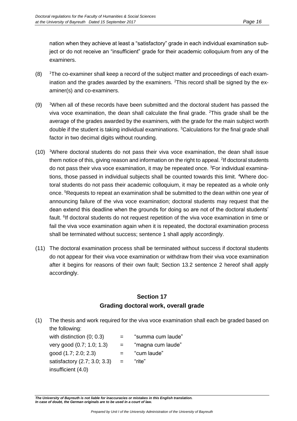nation when they achieve at least a "satisfactory" grade in each individual examination subject or do not receive an "insufficient" grade for their academic colloquium from any of the examiners.

- $(8)$  <sup>1</sup>The co-examiner shall keep a record of the subject matter and proceedings of each examination and the grades awarded by the examiners.  $2$ This record shall be signed by the examiner(s) and co-examiners.
- (9) <sup>1</sup>When all of these records have been submitted and the doctoral student has passed the viva voce examination, the dean shall calculate the final grade.  $2$ This grade shall be the average of the grades awarded by the examiners, with the grade for the main subject worth double if the student is taking individual examinations. <sup>3</sup>Calculations for the final grade shall factor in two decimal digits without rounding.
- (10) <sup>1</sup>Where doctoral students do not pass their viva voce examination, the dean shall issue them notice of this, giving reason and information on the right to appeal. <sup>2</sup>If doctoral students do not pass their viva voce examination, it may be repeated once. 3For individual examinations, those passed in individual subjects shall be counted towards this limit. 4Where doctoral students do not pass their academic colloquium, it may be repeated as a whole only once. <sup>5</sup>Requests to repeat an examination shall be submitted to the dean within one year of announcing failure of the viva voce examination; doctoral students may request that the dean extend this deadline when the grounds for doing so are not of the doctoral students' fault. <sup>6</sup>If doctoral students do not request repetition of the viva voce examination in time or fail the viva voce examination again when it is repeated, the doctoral examination process shall be terminated without success; sentence 1 shall apply accordingly.
- (11) The doctoral examination process shall be terminated without success if doctoral students do not appear for their viva voce examination or withdraw from their viva voce examination after it begins for reasons of their own fault; Section 13.2 sentence 2 hereof shall apply accordingly.

#### **Section 17 Grading doctoral work, overall grade**

(1) The thesis and work required for the viva voce examination shall each be graded based on the following:

with distinction  $(0; 0.3)$  = "summa cum laude" very good  $(0.7; 1.0; 1.3)$  = "magna cum laude"  $qood (1.7; 2.0; 2.3)$  = "cum laude" satisfactory  $(2.7; 3.0; 3.3) =$  "rite" insufficient (4.0)

- 
- -

*The University of Bayreuth is not liable for inaccuracies or mistakes in this English translation. In case of doubt, the German originals are to be used in a court of law.*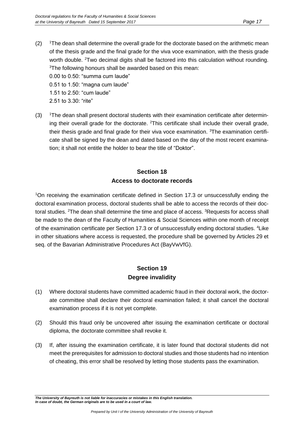- $(2)$  <sup>1</sup>The dean shall determine the overall grade for the doctorate based on the arithmetic mean of the thesis grade and the final grade for the viva voce examination, with the thesis grade worth double. <sup>2</sup>Two decimal digits shall be factored into this calculation without rounding. <sup>3</sup>The following honours shall be awarded based on this mean: 0.00 to 0.50: "summa cum laude" 0.51 to 1.50: "magna cum laude" 1.51 to 2.50: "cum laude"
	- 2.51 to 3.30: "rite"
- $(3)$  <sup>1</sup>The dean shall present doctoral students with their examination certificate after determining their overall grade for the doctorate. <sup>2</sup>This certificate shall include their overall grade, their thesis grade and final grade for their viva voce examination.  ${}^{3}$ The examination certificate shall be signed by the dean and dated based on the day of the most recent examination; it shall not entitle the holder to bear the title of "Doktor".

## **Section 18 Access to doctorate records**

<sup>1</sup>On receiving the examination certificate defined in Section 17.3 or unsuccessfully ending the doctoral examination process, doctoral students shall be able to access the records of their doctoral studies. <sup>2</sup>The dean shall determine the time and place of access. <sup>3</sup>Requests for access shall be made to the dean of the Faculty of Humanities & Social Sciences within one month of receipt of the examination certificate per Section 17.3 or of unsuccessfully ending doctoral studies. <sup>4</sup>Like in other situations where access is requested, the procedure shall be governed by Articles 29 et seq. of the Bavarian Administrative Procedures Act (BayVwVfG).

#### **Section 19 Degree invalidity**

- (1) Where doctoral students have committed academic fraud in their doctoral work, the doctorate committee shall declare their doctoral examination failed; it shall cancel the doctoral examination process if it is not yet complete.
- (2) Should this fraud only be uncovered after issuing the examination certificate or doctoral diploma, the doctorate committee shall revoke it.
- (3) If, after issuing the examination certificate, it is later found that doctoral students did not meet the prerequisites for admission to doctoral studies and those students had no intention of cheating, this error shall be resolved by letting those students pass the examination.

*The University of Bayreuth is not liable for inaccuracies or mistakes in this English translation. In case of doubt, the German originals are to be used in a court of law.*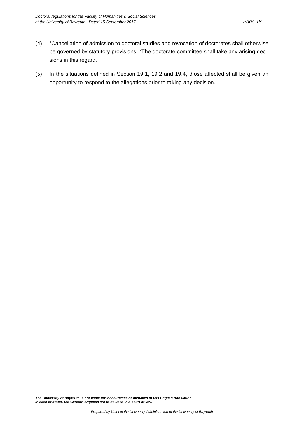- (4) <sup>1</sup>Cancellation of admission to doctoral studies and revocation of doctorates shall otherwise be governed by statutory provisions. <sup>2</sup>The doctorate committee shall take any arising decisions in this regard.
- (5) In the situations defined in Section 19.1, 19.2 and 19.4, those affected shall be given an opportunity to respond to the allegations prior to taking any decision.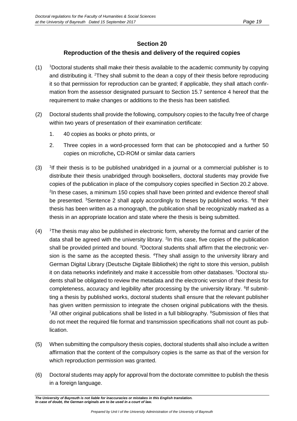#### **Section 20**

#### **Reproduction of the thesis and delivery of the required copies**

- $(1)$  <sup>1</sup>Doctoral students shall make their thesis available to the academic community by copying and distributing it. <sup>2</sup>They shall submit to the dean a copy of their thesis before reproducing it so that permission for reproduction can be granted; if applicable, they shall attach confirmation from the assessor designated pursuant to Section 15.7 sentence 4 hereof that the requirement to make changes or additions to the thesis has been satisfied.
- (2) Doctoral students shall provide the following, compulsory copies to the faculty free of charge within two years of presentation of their examination certificate:
	- 1. 40 copies as books or photo prints, or
	- 2. Three copies in a word-processed form that can be photocopied and a further 50 copies on microfiche**,** CD-ROM or similar data carriers
- $(3)$ <sup>1</sup>If their thesis is to be published unabridged in a journal or a commercial publisher is to distribute their thesis unabridged through booksellers, doctoral students may provide five copies of the publication in place of the compulsory copies specified in Section 20.2 above. <sup>2</sup>In these cases, a minimum 150 copies shall have been printed and evidence thereof shall be presented. <sup>3</sup>Sentence 2 shall apply accordingly to theses by published works. <sup>4</sup>If their thesis has been written as a monograph, the publication shall be recognizably marked as a thesis in an appropriate location and state where the thesis is being submitted.
- (4) <sup>1</sup>The thesis may also be published in electronic form, whereby the format and carrier of the data shall be agreed with the university library. <sup>2</sup>In this case, five copies of the publication shall be provided printed and bound. <sup>3</sup>Doctoral students shall affirm that the electronic version is the same as the accepted thesis. <sup>4</sup>They shall assign to the university library and German Digital Library (Deutsche Digitale Bibliothek) the right to store this version, publish it on data networks indefinitely and make it accessible from other databases. <sup>5</sup>Doctoral students shall be obligated to review the metadata and the electronic version of their thesis for completeness, accuracy and legibility after processing by the university library. <sup>6</sup>If submitting a thesis by published works, doctoral students shall ensure that the relevant publisher has given written permission to integrate the chosen original publications with the thesis. <sup>7</sup>All other original publications shall be listed in a full bibliography. <sup>8</sup>Submission of files that do not meet the required file format and transmission specifications shall not count as publication.
- (5) When submitting the compulsory thesis copies, doctoral students shall also include a written affirmation that the content of the compulsory copies is the same as that of the version for which reproduction permission was granted.
- (6) Doctoral students may apply for approval from the doctorate committee to publish the thesis in a foreign language.

*The University of Bayreuth is not liable for inaccuracies or mistakes in this English translation. In case of doubt, the German originals are to be used in a court of law.*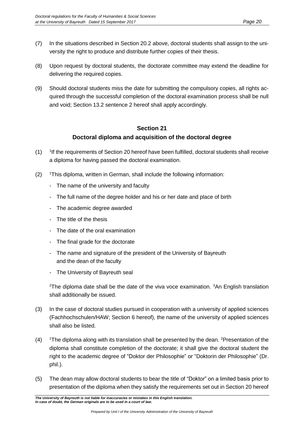- (7) In the situations described in Section 20.2 above, doctoral students shall assign to the university the right to produce and distribute further copies of their thesis.
- (8) Upon request by doctoral students, the doctorate committee may extend the deadline for delivering the required copies.
- (9) Should doctoral students miss the date for submitting the compulsory copies, all rights acquired through the successful completion of the doctoral examination process shall be null and void; Section 13.2 sentence 2 hereof shall apply accordingly.

#### **Section 21 Doctoral diploma and acquisition of the doctoral degree**

- $(1)$ <sup>1</sup>If the requirements of Section 20 hereof have been fulfilled, doctoral students shall receive a diploma for having passed the doctoral examination.
- (2) <sup>1</sup>This diploma, written in German, shall include the following information:
	- The name of the university and faculty
	- The full name of the degree holder and his or her date and place of birth
	- The academic degree awarded
	- The title of the thesis
	- The date of the oral examination
	- The final grade for the doctorate
	- The name and signature of the president of the University of Bayreuth and the dean of the faculty
	- The University of Bayreuth seal

<sup>2</sup>The diploma date shall be the date of the viva voce examination.  $3An$  English translation shall additionally be issued.

- (3) In the case of doctoral studies pursued in cooperation with a university of applied sciences (Fachhochschulen/HAW; Section 6 hereof), the name of the university of applied sciences shall also be listed.
- $(4)$  <sup>1</sup>The diploma along with its translation shall be presented by the dean. <sup>2</sup>Presentation of the diploma shall constitute completion of the doctorate; it shall give the doctoral student the right to the academic degree of "Doktor der Philosophie" or "Doktorin der Philosophie" (Dr. phil.).
- (5) The dean may allow doctoral students to bear the title of "Doktor" on a limited basis prior to presentation of the diploma when they satisfy the requirements set out in Section 20 hereof

*The University of Bayreuth is not liable for inaccuracies or mistakes in this English translation. In case of doubt, the German originals are to be used in a court of law.*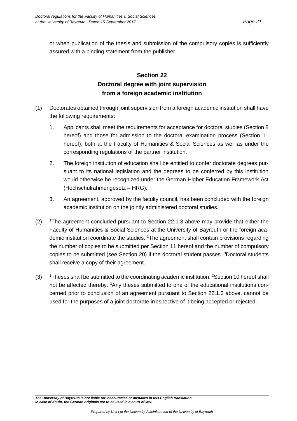or when publication of the thesis and submission of the compulsory copies is sufficiently assured with a binding statement from the publisher.

## **Section 22 Doctoral degree with joint supervision from a foreign academic institution**

- (1) Doctorates obtained through joint supervision from a foreign academic institution shall have the following requirements:
	- 1. Applicants shall meet the requirements for acceptance for doctoral studies (Section 8 hereof) and those for admission to the doctoral examination process (Section 11 hereof), both at the Faculty of Humanities & Social Sciences as well as under the corresponding regulations of the partner institution.
	- 2. The foreign institution of education shall be entitled to confer doctorate degrees pursuant to its national legislation and the degrees to be conferred by this institution would otherwise be recognized under the German Higher Education Framework Act (Hochschulrahmengesetz – HRG).
	- 3. An agreement, approved by the faculty council, has been concluded with the foreign academic institution on the jointly administered doctoral studies.
- $(2)$  <sup>1</sup>The agreement concluded pursuant to Section 22.1.3 above may provide that either the Faculty of Humanities & Social Sciences at the University of Bayreuth or the foreign academic institution coordinate the studies. <sup>2</sup>The agreement shall contain provisions regarding the number of copies to be submitted per Section 11 hereof and the number of compulsory copies to be submitted (see Section 20) if the doctoral student passes. <sup>3</sup>Doctoral students shall receive a copy of their agreement.
- (3) <sup>1</sup>Theses shall be submitted to the coordinating academic institution. <sup>2</sup>Section 10 hereof shall not be affected thereby. <sup>3</sup>Any theses submitted to one of the educational institutions concerned prior to conclusion of an agreement pursuant to Section 22.1.3 above, cannot be used for the purposes of a joint doctorate irrespective of it being accepted or rejected.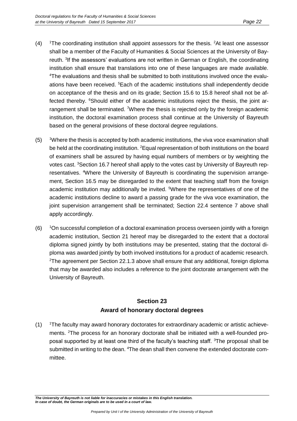- $(4)$  <sup>1</sup>The coordinating institution shall appoint assessors for the thesis. <sup>2</sup>At least one assessor shall be a member of the Faculty of Humanities & Social Sciences at the University of Bayreuth. <sup>3</sup>If the assessors' evaluations are not written in German or English, the coordinating institution shall ensure that translations into one of these languages are made available. 4The evaluations and thesis shall be submitted to both institutions involved once the evaluations have been received. <sup>5</sup>Each of the academic institutions shall independently decide on acceptance of the thesis and on its grade; Section 15.6 to 15.8 hereof shall not be affected thereby.  $6$ Should either of the academic institutions reject the thesis, the joint arrangement shall be terminated. <sup>7</sup>Where the thesis is rejected only by the foreign academic institution, the doctoral examination process shall continue at the University of Bayreuth based on the general provisions of these doctoral degree regulations.
- (5) <sup>1</sup>Where the thesis is accepted by both academic institutions, the viva voce examination shall be held at the coordinating institution. <sup>2</sup>Equal representation of both institutions on the board of examiners shall be assured by having equal numbers of members or by weighting the votes cast. <sup>3</sup>Section 16.7 hereof shall apply to the votes cast by University of Bayreuth representatives. 4Where the University of Bayreuth is coordinating the supervision arrangement, Section 16.5 may be disregarded to the extent that teaching staff from the foreign academic institution may additionally be invited. <sup>5</sup>Where the representatives of one of the academic institutions decline to award a passing grade for the viva voce examination, the joint supervision arrangement shall be terminated; Section 22.4 sentence 7 above shall apply accordingly.
- $(6)$  <sup>1</sup>On successful completion of a doctoral examination process overseen jointly with a foreign academic institution, Section 21 hereof may be disregarded to the extent that a doctoral diploma signed jointly by both institutions may be presented, stating that the doctoral diploma was awarded jointly by both involved institutions for a product of academic research.  $2T$ he agreement per Section 22.1.3 above shall ensure that any additional, foreign diploma that may be awarded also includes a reference to the joint doctorate arrangement with the University of Bayreuth.

## **Section 23 Award of honorary doctoral degrees**

 $(1)$  <sup>1</sup>The faculty may award honorary doctorates for extraordinary academic or artistic achievements. <sup>2</sup>The process for an honorary doctorate shall be initiated with a well-founded proposal supported by at least one third of the faculty's teaching staff. <sup>3</sup>The proposal shall be submitted in writing to the dean. 4The dean shall then convene the extended doctorate committee.

*The University of Bayreuth is not liable for inaccuracies or mistakes in this English translation. In case of doubt, the German originals are to be used in a court of law.*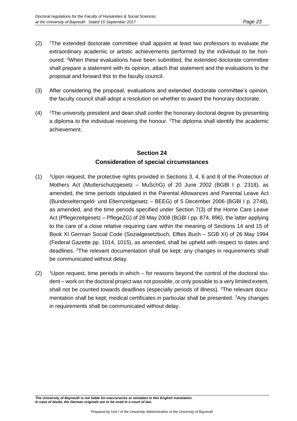- $(2)$  <sup>1</sup>The extended doctorate committee shall appoint at least two professors to evaluate the extraordinary academic or artistic achievements performed by the individual to be honoured. <sup>2</sup>When these evaluations have been submitted, the extended doctorate committee shall prepare a statement with its opinion, attach that statement and the evaluations to the proposal and forward this to the faculty council.
- (3) After considering the proposal, evaluations and extended doctorate committee's opinion, the faculty council shall adopt a resolution on whether to award the honorary doctorate.
- $(4)$  <sup>1</sup>The university president and dean shall confer the honorary doctoral degree by presenting a diploma to the individual receiving the honour. <sup>2</sup>The diploma shall identify the academic achievement.

## **Section 24 Consideration of special circumstances**

- $(1)$  <sup>1</sup>Upon request, the protective rights provided in Sections 3, 4, 6 and 8 of the Protection of Mothers Act (Mutterschutzgesetz – MuSchG) of 20 June 2002 (BGBl I p. 2318), as amended, the time periods stipulated in the Parental Allowances and Parental Leave Act (Bundeselterngeld- und Elternzeitgesetz – BEEG) of 5 December 2006 (BGBl I p. 2748), as amended, and the time periods specified under Section 7(3) of the Home Care Leave Act (Pflegezeitgesetz – PflegeZG) of 28 May 2008 (BGBl I pp. 874, 896), the latter applying to the care of a close relative requiring care within the meaning of Sections 14 and 15 of Book XI German Social Code (Sozialgesetzbuch, Elftes Buch – SGB XI) of 26 May 1994 (Federal Gazette pp. 1014, 1015), as amended, shall be upheld with respect to dates and deadlines. <sup>2</sup>The relevant documentation shall be kept; any changes in requirements shall be communicated without delay.
- $(2)$  <sup>1</sup>Upon request, time periods in which for reasons beyond the control of the doctoral student – work on the doctoral project was not possible, or only possible to a very limited extent, shall not be counted towards deadlines (especially periods of illness). <sup>2</sup>The relevant documentation shall be kept; medical certificates in particular shall be presented. <sup>3</sup>Any changes in requirements shall be communicated without delay.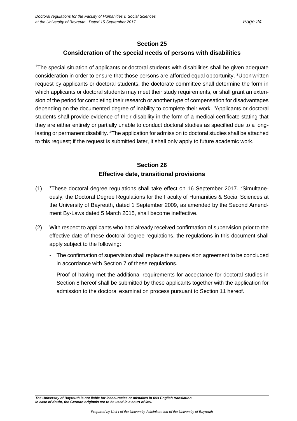#### **Section 25**

#### **Consideration of the special needs of persons with disabilities**

<sup>1</sup>The special situation of applicants or doctoral students with disabilities shall be given adequate consideration in order to ensure that those persons are afforded equal opportunity. <sup>2</sup>Upon written request by applicants or doctoral students, the doctorate committee shall determine the form in which applicants or doctoral students may meet their study requirements, or shall grant an extension of the period for completing their research or another type of compensation for disadvantages depending on the documented degree of inability to complete their work. <sup>3</sup>Applicants or doctoral students shall provide evidence of their disability in the form of a medical certificate stating that they are either entirely or partially unable to conduct doctoral studies as specified due to a longlasting or permanent disability. <sup>4</sup>The application for admission to doctoral studies shall be attached to this request; if the request is submitted later, it shall only apply to future academic work.

## **Section 26 Effective date, transitional provisions**

- (1)  $1$ These doctoral degree regulations shall take effect on 16 September 2017. <sup>2</sup>Simultaneously, the Doctoral Degree Regulations for the Faculty of Humanities & Social Sciences at the University of Bayreuth, dated 1 September 2009, as amended by the Second Amendment By-Laws dated 5 March 2015, shall become ineffective.
- (2) With respect to applicants who had already received confirmation of supervision prior to the effective date of these doctoral degree regulations, the regulations in this document shall apply subject to the following:
	- The confirmation of supervision shall replace the supervision agreement to be concluded in accordance with Section 7 of these regulations.
	- Proof of having met the additional requirements for acceptance for doctoral studies in Section 8 hereof shall be submitted by these applicants together with the application for admission to the doctoral examination process pursuant to Section 11 hereof.